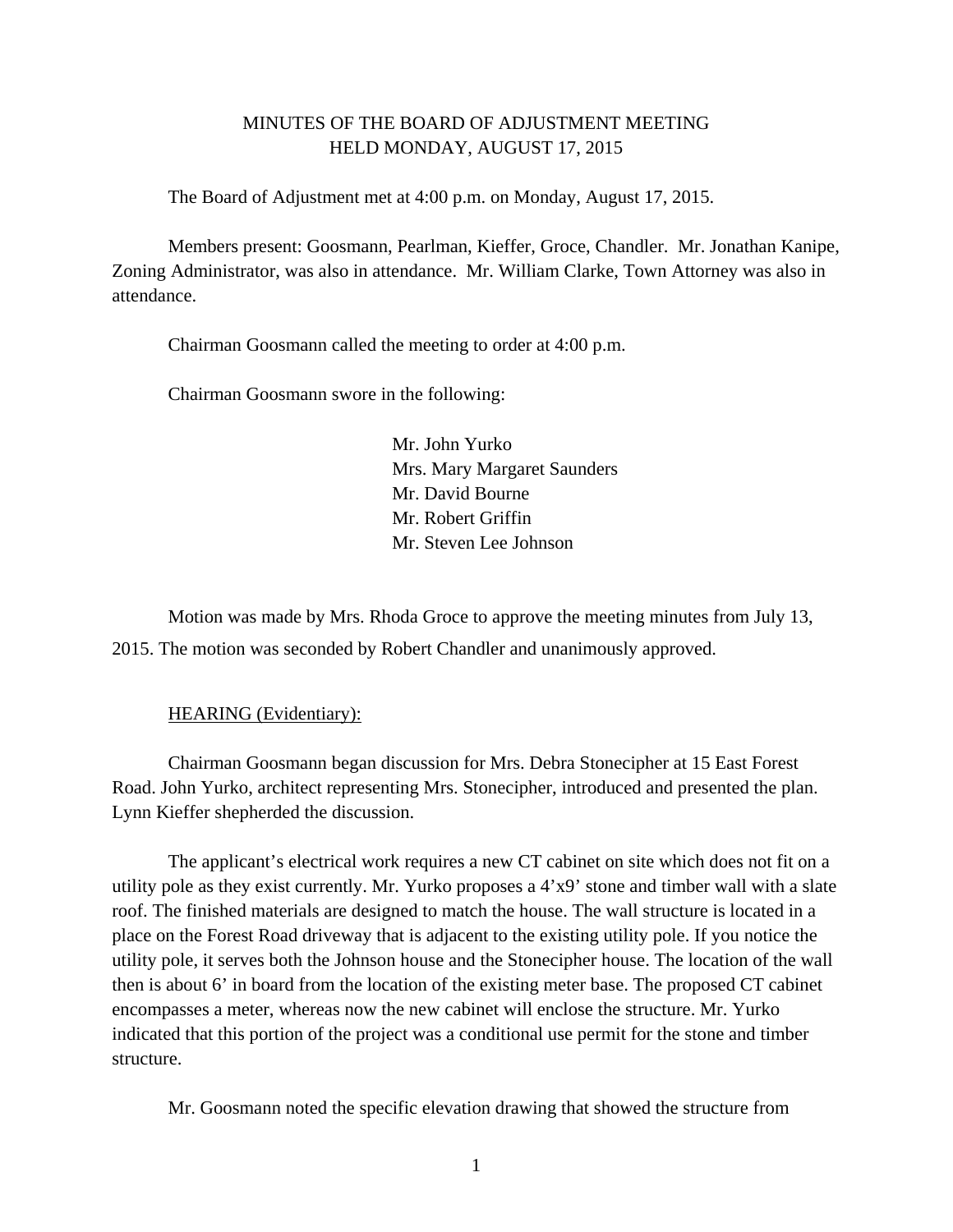# MINUTES OF THE BOARD OF ADJUSTMENT MEETING HELD MONDAY, AUGUST 17, 2015

The Board of Adjustment met at 4:00 p.m. on Monday, August 17, 2015.

Members present: Goosmann, Pearlman, Kieffer, Groce, Chandler. Mr. Jonathan Kanipe, Zoning Administrator, was also in attendance. Mr. William Clarke, Town Attorney was also in attendance.

Chairman Goosmann called the meeting to order at 4:00 p.m.

Chairman Goosmann swore in the following:

 Mr. John Yurko Mrs. Mary Margaret Saunders Mr. David Bourne Mr. Robert Griffin Mr. Steven Lee Johnson

 Motion was made by Mrs. Rhoda Groce to approve the meeting minutes from July 13, 2015. The motion was seconded by Robert Chandler and unanimously approved.

#### HEARING (Evidentiary):

 Chairman Goosmann began discussion for Mrs. Debra Stonecipher at 15 East Forest Road. John Yurko, architect representing Mrs. Stonecipher, introduced and presented the plan. Lynn Kieffer shepherded the discussion.

 The applicant's electrical work requires a new CT cabinet on site which does not fit on a utility pole as they exist currently. Mr. Yurko proposes a 4'x9' stone and timber wall with a slate roof. The finished materials are designed to match the house. The wall structure is located in a place on the Forest Road driveway that is adjacent to the existing utility pole. If you notice the utility pole, it serves both the Johnson house and the Stonecipher house. The location of the wall then is about 6' in board from the location of the existing meter base. The proposed CT cabinet encompasses a meter, whereas now the new cabinet will enclose the structure. Mr. Yurko indicated that this portion of the project was a conditional use permit for the stone and timber structure.

Mr. Goosmann noted the specific elevation drawing that showed the structure from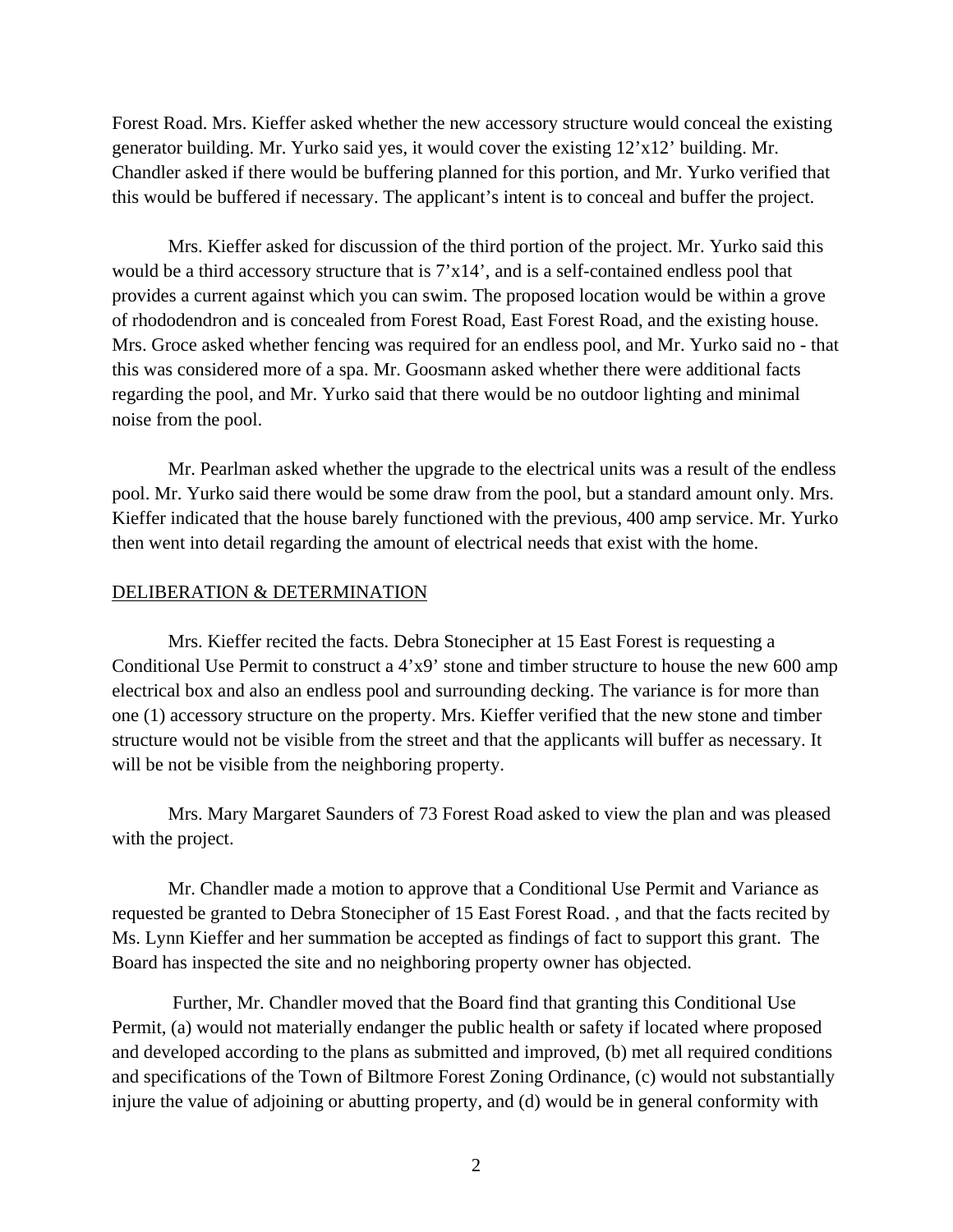Forest Road. Mrs. Kieffer asked whether the new accessory structure would conceal the existing generator building. Mr. Yurko said yes, it would cover the existing 12'x12' building. Mr. Chandler asked if there would be buffering planned for this portion, and Mr. Yurko verified that this would be buffered if necessary. The applicant's intent is to conceal and buffer the project.

 Mrs. Kieffer asked for discussion of the third portion of the project. Mr. Yurko said this would be a third accessory structure that is  $7'x14'$ , and is a self-contained endless pool that provides a current against which you can swim. The proposed location would be within a grove of rhododendron and is concealed from Forest Road, East Forest Road, and the existing house. Mrs. Groce asked whether fencing was required for an endless pool, and Mr. Yurko said no - that this was considered more of a spa. Mr. Goosmann asked whether there were additional facts regarding the pool, and Mr. Yurko said that there would be no outdoor lighting and minimal noise from the pool.

 Mr. Pearlman asked whether the upgrade to the electrical units was a result of the endless pool. Mr. Yurko said there would be some draw from the pool, but a standard amount only. Mrs. Kieffer indicated that the house barely functioned with the previous, 400 amp service. Mr. Yurko then went into detail regarding the amount of electrical needs that exist with the home.

### DELIBERATION & DETERMINATION

 Mrs. Kieffer recited the facts. Debra Stonecipher at 15 East Forest is requesting a Conditional Use Permit to construct a 4'x9' stone and timber structure to house the new 600 amp electrical box and also an endless pool and surrounding decking. The variance is for more than one (1) accessory structure on the property. Mrs. Kieffer verified that the new stone and timber structure would not be visible from the street and that the applicants will buffer as necessary. It will be not be visible from the neighboring property.

 Mrs. Mary Margaret Saunders of 73 Forest Road asked to view the plan and was pleased with the project.

Mr. Chandler made a motion to approve that a Conditional Use Permit and Variance as requested be granted to Debra Stonecipher of 15 East Forest Road. , and that the facts recited by Ms. Lynn Kieffer and her summation be accepted as findings of fact to support this grant. The Board has inspected the site and no neighboring property owner has objected.

 Further, Mr. Chandler moved that the Board find that granting this Conditional Use Permit, (a) would not materially endanger the public health or safety if located where proposed and developed according to the plans as submitted and improved, (b) met all required conditions and specifications of the Town of Biltmore Forest Zoning Ordinance, (c) would not substantially injure the value of adjoining or abutting property, and (d) would be in general conformity with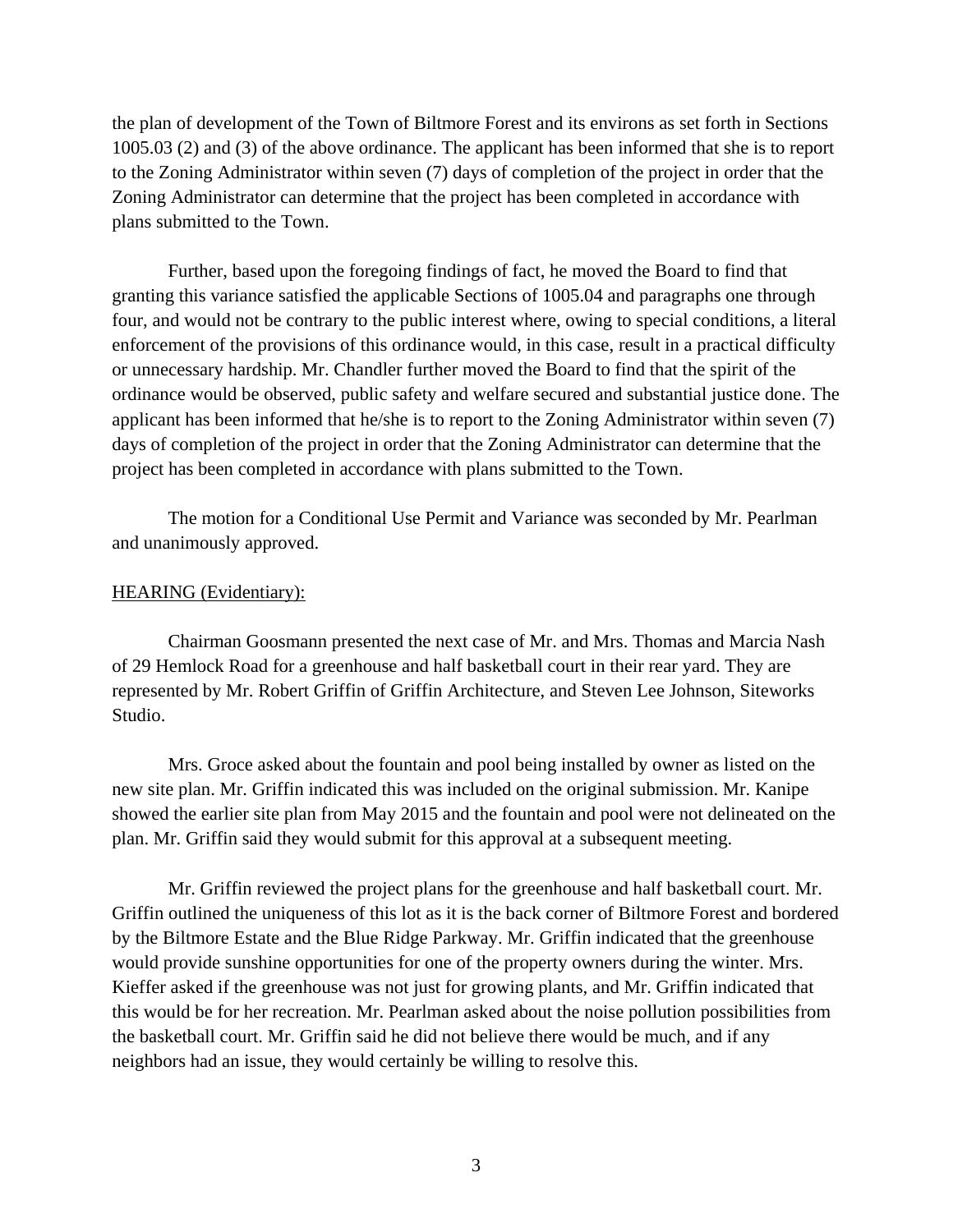the plan of development of the Town of Biltmore Forest and its environs as set forth in Sections 1005.03 (2) and (3) of the above ordinance. The applicant has been informed that she is to report to the Zoning Administrator within seven (7) days of completion of the project in order that the Zoning Administrator can determine that the project has been completed in accordance with plans submitted to the Town.

Further, based upon the foregoing findings of fact, he moved the Board to find that granting this variance satisfied the applicable Sections of 1005.04 and paragraphs one through four, and would not be contrary to the public interest where, owing to special conditions, a literal enforcement of the provisions of this ordinance would, in this case, result in a practical difficulty or unnecessary hardship. Mr. Chandler further moved the Board to find that the spirit of the ordinance would be observed, public safety and welfare secured and substantial justice done. The applicant has been informed that he/she is to report to the Zoning Administrator within seven (7) days of completion of the project in order that the Zoning Administrator can determine that the project has been completed in accordance with plans submitted to the Town.

The motion for a Conditional Use Permit and Variance was seconded by Mr. Pearlman and unanimously approved.

### HEARING (Evidentiary):

 Chairman Goosmann presented the next case of Mr. and Mrs. Thomas and Marcia Nash of 29 Hemlock Road for a greenhouse and half basketball court in their rear yard. They are represented by Mr. Robert Griffin of Griffin Architecture, and Steven Lee Johnson, Siteworks Studio.

 Mrs. Groce asked about the fountain and pool being installed by owner as listed on the new site plan. Mr. Griffin indicated this was included on the original submission. Mr. Kanipe showed the earlier site plan from May 2015 and the fountain and pool were not delineated on the plan. Mr. Griffin said they would submit for this approval at a subsequent meeting.

 Mr. Griffin reviewed the project plans for the greenhouse and half basketball court. Mr. Griffin outlined the uniqueness of this lot as it is the back corner of Biltmore Forest and bordered by the Biltmore Estate and the Blue Ridge Parkway. Mr. Griffin indicated that the greenhouse would provide sunshine opportunities for one of the property owners during the winter. Mrs. Kieffer asked if the greenhouse was not just for growing plants, and Mr. Griffin indicated that this would be for her recreation. Mr. Pearlman asked about the noise pollution possibilities from the basketball court. Mr. Griffin said he did not believe there would be much, and if any neighbors had an issue, they would certainly be willing to resolve this.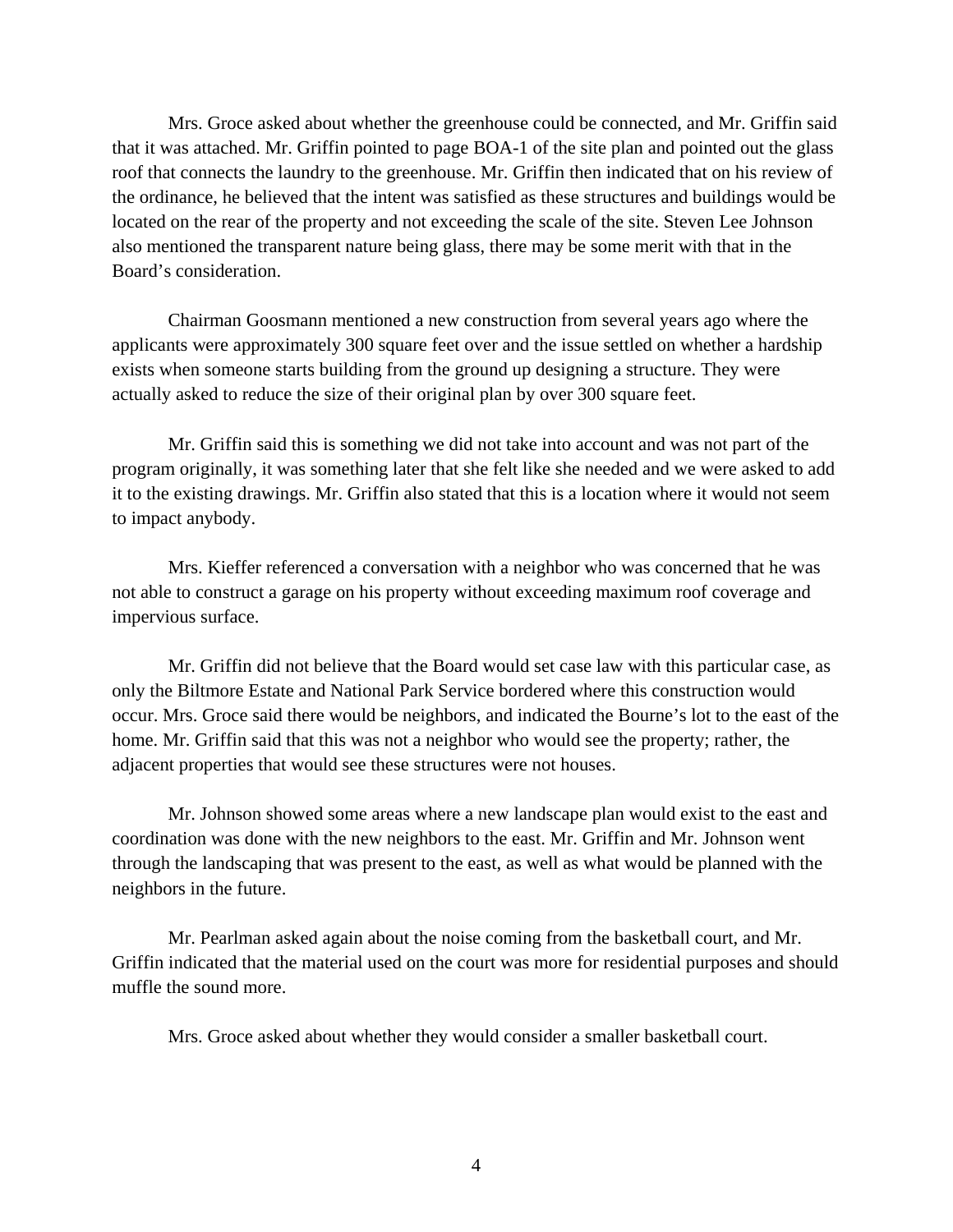Mrs. Groce asked about whether the greenhouse could be connected, and Mr. Griffin said that it was attached. Mr. Griffin pointed to page BOA-1 of the site plan and pointed out the glass roof that connects the laundry to the greenhouse. Mr. Griffin then indicated that on his review of the ordinance, he believed that the intent was satisfied as these structures and buildings would be located on the rear of the property and not exceeding the scale of the site. Steven Lee Johnson also mentioned the transparent nature being glass, there may be some merit with that in the Board's consideration.

 Chairman Goosmann mentioned a new construction from several years ago where the applicants were approximately 300 square feet over and the issue settled on whether a hardship exists when someone starts building from the ground up designing a structure. They were actually asked to reduce the size of their original plan by over 300 square feet.

 Mr. Griffin said this is something we did not take into account and was not part of the program originally, it was something later that she felt like she needed and we were asked to add it to the existing drawings. Mr. Griffin also stated that this is a location where it would not seem to impact anybody.

 Mrs. Kieffer referenced a conversation with a neighbor who was concerned that he was not able to construct a garage on his property without exceeding maximum roof coverage and impervious surface.

 Mr. Griffin did not believe that the Board would set case law with this particular case, as only the Biltmore Estate and National Park Service bordered where this construction would occur. Mrs. Groce said there would be neighbors, and indicated the Bourne's lot to the east of the home. Mr. Griffin said that this was not a neighbor who would see the property; rather, the adjacent properties that would see these structures were not houses.

 Mr. Johnson showed some areas where a new landscape plan would exist to the east and coordination was done with the new neighbors to the east. Mr. Griffin and Mr. Johnson went through the landscaping that was present to the east, as well as what would be planned with the neighbors in the future.

 Mr. Pearlman asked again about the noise coming from the basketball court, and Mr. Griffin indicated that the material used on the court was more for residential purposes and should muffle the sound more.

Mrs. Groce asked about whether they would consider a smaller basketball court.